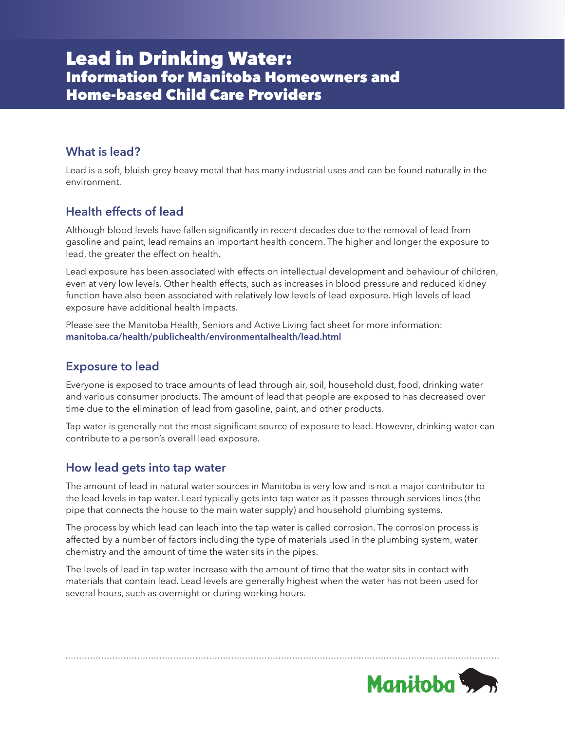# Lead in Drinking Water: Information for Manitoba Homeowners and Home-based Child Care Providers

# **What is lead?**

Lead is a soft, bluish-grey heavy metal that has many industrial uses and can be found naturally in the environment.

# **Health effects of lead**

Although blood levels have fallen significantly in recent decades due to the removal of lead from gasoline and paint, lead remains an important health concern. The higher and longer the exposure to lead, the greater the effect on health.

Lead exposure has been associated with effects on intellectual development and behaviour of children, even at very low levels. Other health effects, such as increases in blood pressure and reduced kidney function have also been associated with relatively low levels of lead exposure. High levels of lead exposure have additional health impacts.

Please see the Manitoba Health, Seniors and Active Living fact sheet for more information: **[manitoba.ca/health/publichealth/environmentalhealth/lead.html](http://manitoba.ca/health/publichealth/environmentalhealth/lead.html)**

# **Exposure to lead**

Everyone is exposed to trace amounts of lead through air, soil, household dust, food, drinking water and various consumer products. The amount of lead that people are exposed to has decreased over time due to the elimination of lead from gasoline, paint, and other products.

Tap water is generally not the most significant source of exposure to lead. However, drinking water can contribute to a person's overall lead exposure.

# **How lead gets into tap water**

The amount of lead in natural water sources in Manitoba is very low and is not a major contributor to the lead levels in tap water. Lead typically gets into tap water as it passes through services lines (the pipe that connects the house to the main water supply) and household plumbing systems.

The process by which lead can leach into the tap water is called corrosion. The corrosion process is affected by a number of factors including the type of materials used in the plumbing system, water chemistry and the amount of time the water sits in the pipes.

The levels of lead in tap water increase with the amount of time that the water sits in contact with materials that contain lead. Lead levels are generally highest when the water has not been used for several hours, such as overnight or during working hours.

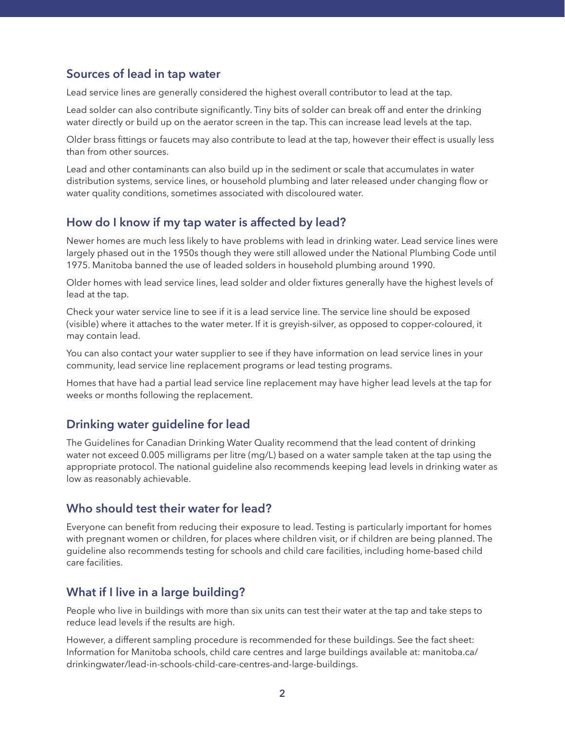## **Sources of lead in tap water**

Lead service lines are generally considered the highest overall contributor to lead at the tap.

Lead solder can also contribute significantly. Tiny bits of solder can break off and enter the drinking water directly or build up on the aerator screen in the tap. This can increase lead levels at the tap.

Older brass fittings or faucets may also contribute to lead at the tap, however their effect is usually less than from other sources.

Lead and other contaminants can also build up in the sediment or scale that accumulates in water distribution systems, service lines, or household plumbing and later released under changing flow or water quality conditions, sometimes associated with discoloured water.

### **How do I know if my tap water is affected by lead?**

Newer homes are much less likely to have problems with lead in drinking water. Lead service lines were largely phased out in the 1950s though they were still allowed under the National Plumbing Code until 1975. Manitoba banned the use of leaded solders in household plumbing around 1990.

Older homes with lead service lines, lead solder and older fixtures generally have the highest levels of lead at the tap.

Check your water service line to see if it is a lead service line. The service line should be exposed (visible) where it attaches to the water meter. If it is greyish-silver, as opposed to copper-coloured, it may contain lead.

You can also contact your water supplier to see if they have information on lead service lines in your community, lead service line replacement programs or lead testing programs.

Homes that have had a partial lead service line replacement may have higher lead levels at the tap for weeks or months following the replacement.

# **Drinking water guideline for lead**

The Guidelines for Canadian Drinking Water Quality recommend that the lead content of drinking water not exceed 0.005 milligrams per litre (mg/L) based on a water sample taken at the tap using the appropriate protocol. The national guideline also recommends keeping lead levels in drinking water as low as reasonably achievable.

### **Who should test their water for lead?**

Everyone can benefit from reducing their exposure to lead. Testing is particularly important for homes with pregnant women or children, for places where children visit, or if children are being planned. The guideline also recommends testing for schools and child care facilities, including home-based child care facilities.

# **What if I live in a large building?**

People who live in buildings with more than six units can test their water at the tap and take steps to reduce lead levels if the results are high.

However, a different sampling procedure is recommended for these buildings. See the fact sheet: Information for Manitoba schools, child care centres and large buildings available at: manitoba.ca/ drinkingwater/lead-in-schools-child-care-centres-and-large-buildings.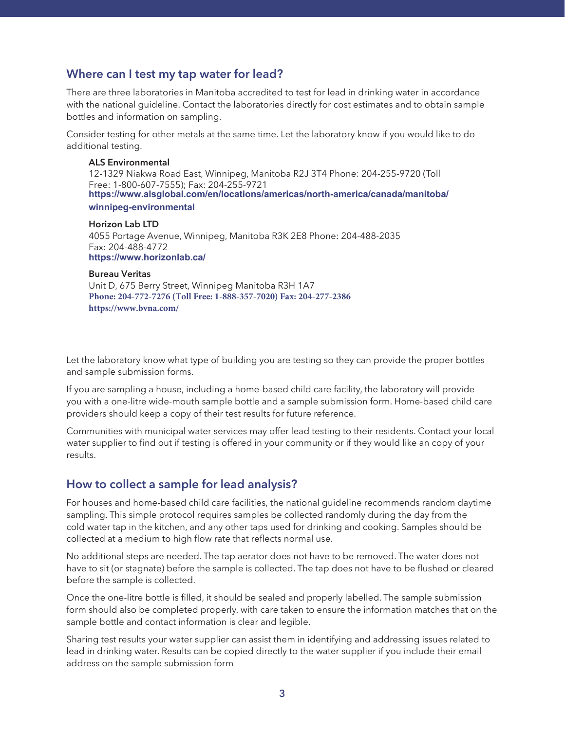### **Where can I test my tap water for lead?**

There are three laboratories in Manitoba accredited to test for lead in drinking water in accordance with the national guideline. Contact the laboratories directly for cost estimates and to obtain sample bottles and information on sampling.

Consider testing for other metals at the same time. Let the laboratory know if you would like to do additional testing.

#### **ALS Environmental** 12-1329 Niakwa Road East, Winnipeg, Manitoba R2J 3T4 Phone: 204-255-9720 (Toll Free: 1-800-607-7555); Fax: 204-255-9721 **[https://www.alsglobal.com/en/locations/americas/north-america/canada/manitoba/](http://alsglobal.com/en/Our-Company/Global-Locations) winnipeg-environmental**

**Horizon Lab LTD** 4055 Portage Avenue, Winnipeg, Manitoba R3K 2E8 Phone: 204-488-2035 Fax: 204-488-4772 **[https://www.horizonlab.ca/](http://horizonlab.ca)**

#### **Bureau Veritas**

Unit D, 675 Berry Street, Winnipeg Manitoba R3H 1A7 **[Phone: 204-772-7276 \(Toll Free: 1-888-357-7020\) Fax: 204-277-2386](http://bvlabs.com) https://www.bvna.com/**

Let the laboratory know what type of building you are testing so they can provide the proper bottles and sample submission forms.

If you are sampling a house, including a home-based child care facility, the laboratory will provide you with a one-litre wide-mouth sample bottle and a sample submission form. Home-based child care providers should keep a copy of their test results for future reference.

Communities with municipal water services may offer lead testing to their residents. Contact your local water supplier to find out if testing is offered in your community or if they would like an copy of your results.

### **How to collect a sample for lead analysis?**

For houses and home-based child care facilities, the national guideline recommends random daytime sampling. This simple protocol requires samples be collected randomly during the day from the cold water tap in the kitchen, and any other taps used for drinking and cooking. Samples should be collected at a medium to high flow rate that reflects normal use.

No additional steps are needed. The tap aerator does not have to be removed. The water does not have to sit (or stagnate) before the sample is collected. The tap does not have to be flushed or cleared before the sample is collected.

Once the one-litre bottle is filled, it should be sealed and properly labelled. The sample submission form should also be completed properly, with care taken to ensure the information matches that on the sample bottle and contact information is clear and legible.

Sharing test results your water supplier can assist them in identifying and addressing issues related to lead in drinking water. Results can be copied directly to the water supplier if you include their email address on the sample submission form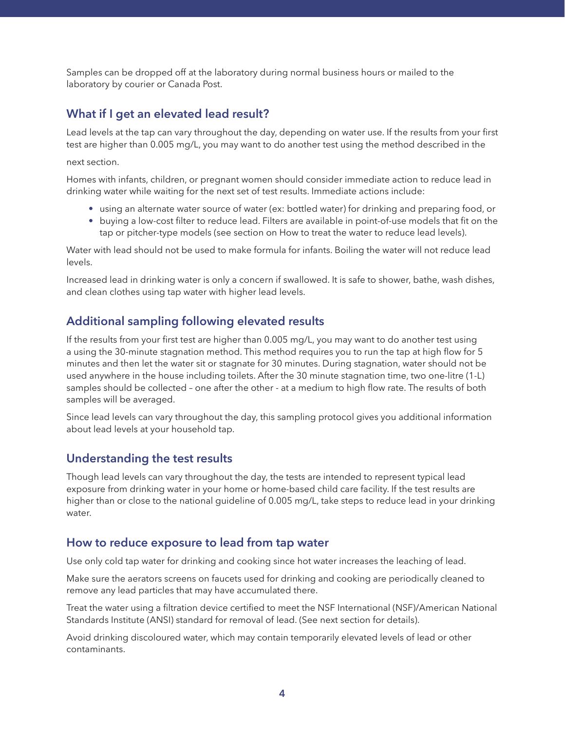Samples can be dropped off at the laboratory during normal business hours or mailed to the laboratory by courier or Canada Post.

### **What if I get an elevated lead result?**

Lead levels at the tap can vary throughout the day, depending on water use. If the results from your first test are higher than 0.005 mg/L, you may want to do another test using the method described in the

#### next section.

Homes with infants, children, or pregnant women should consider immediate action to reduce lead in drinking water while waiting for the next set of test results. Immediate actions include:

- using an alternate water source of water (ex: bottled water) for drinking and preparing food, or
- buying a low-cost filter to reduce lead. Filters are available in point-of-use models that fit on the tap or pitcher-type models (see section on How to treat the water to reduce lead levels).

Water with lead should not be used to make formula for infants. Boiling the water will not reduce lead levels.

Increased lead in drinking water is only a concern if swallowed. It is safe to shower, bathe, wash dishes, and clean clothes using tap water with higher lead levels.

### **Additional sampling following elevated results**

If the results from your first test are higher than 0.005 mg/L, you may want to do another test using a using the 30-minute stagnation method. This method requires you to run the tap at high flow for 5 minutes and then let the water sit or stagnate for 30 minutes. During stagnation, water should not be used anywhere in the house including toilets. After the 30 minute stagnation time, two one-litre (1-L) samples should be collected – one after the other - at a medium to high flow rate. The results of both samples will be averaged.

Since lead levels can vary throughout the day, this sampling protocol gives you additional information about lead levels at your household tap.

### **Understanding the test results**

Though lead levels can vary throughout the day, the tests are intended to represent typical lead exposure from drinking water in your home or home-based child care facility. If the test results are higher than or close to the national guideline of 0.005 mg/L, take steps to reduce lead in your drinking water.

### **How to reduce exposure to lead from tap water**

Use only cold tap water for drinking and cooking since hot water increases the leaching of lead.

Make sure the aerators screens on faucets used for drinking and cooking are periodically cleaned to remove any lead particles that may have accumulated there.

Treat the water using a filtration device certified to meet the NSF International (NSF)/American National Standards Institute (ANSI) standard for removal of lead. (See next section for details).

Avoid drinking discoloured water, which may contain temporarily elevated levels of lead or other contaminants.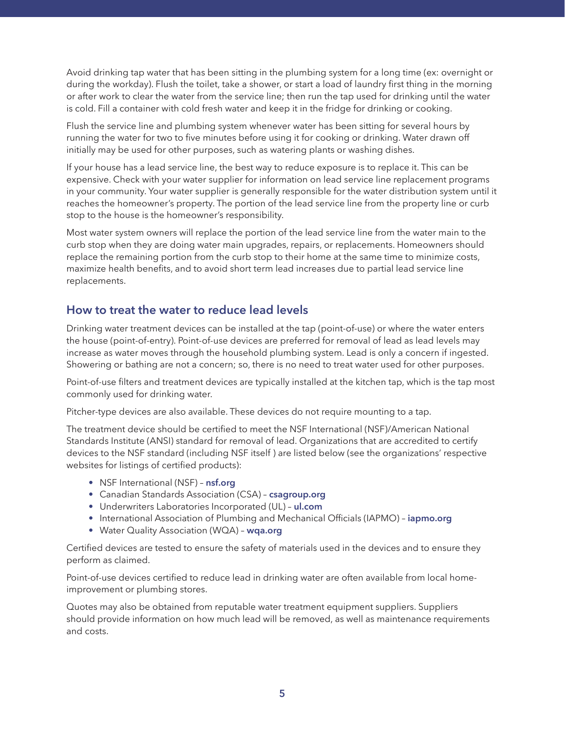Avoid drinking tap water that has been sitting in the plumbing system for a long time (ex: overnight or during the workday). Flush the toilet, take a shower, or start a load of laundry first thing in the morning or after work to clear the water from the service line; then run the tap used for drinking until the water is cold. Fill a container with cold fresh water and keep it in the fridge for drinking or cooking.

Flush the service line and plumbing system whenever water has been sitting for several hours by running the water for two to five minutes before using it for cooking or drinking. Water drawn off initially may be used for other purposes, such as watering plants or washing dishes.

If your house has a lead service line, the best way to reduce exposure is to replace it. This can be expensive. Check with your water supplier for information on lead service line replacement programs in your community. Your water supplier is generally responsible for the water distribution system until it reaches the homeowner's property. The portion of the lead service line from the property line or curb stop to the house is the homeowner's responsibility.

Most water system owners will replace the portion of the lead service line from the water main to the curb stop when they are doing water main upgrades, repairs, or replacements. Homeowners should replace the remaining portion from the curb stop to their home at the same time to minimize costs, maximize health benefits, and to avoid short term lead increases due to partial lead service line replacements.

### **How to treat the water to reduce lead levels**

Drinking water treatment devices can be installed at the tap (point-of-use) or where the water enters the house (point-of-entry). Point-of-use devices are preferred for removal of lead as lead levels may increase as water moves through the household plumbing system. Lead is only a concern if ingested. Showering or bathing are not a concern; so, there is no need to treat water used for other purposes.

Point-of-use filters and treatment devices are typically installed at the kitchen tap, which is the tap most commonly used for drinking water.

Pitcher-type devices are also available. These devices do not require mounting to a tap.

The treatment device should be certified to meet the NSF International (NSF)/American National Standards Institute (ANSI) standard for removal of lead. Organizations that are accredited to certify devices to the NSF standard (including NSF itself ) are listed below (see the organizations' respective websites for listings of certified products):

- NSF International (NSF) **[nsf.org](http://nsf.org)**
- Canadian Standards Association (CSA) **[csagroup.org](http://csagroup.org)**
- Underwriters Laboratories Incorporated (UL) **[ul.com](http://ul.com)**
- International Association of Plumbing and Mechanical Officials (IAPMO) **[iapmo.org](http://iapmo.org)**
- Water Quality Association (WQA) **[wqa.org](http://wqa.org)**

Certified devices are tested to ensure the safety of materials used in the devices and to ensure they perform as claimed.

Point-of-use devices certified to reduce lead in drinking water are often available from local homeimprovement or plumbing stores.

Quotes may also be obtained from reputable water treatment equipment suppliers. Suppliers should provide information on how much lead will be removed, as well as maintenance requirements and costs.